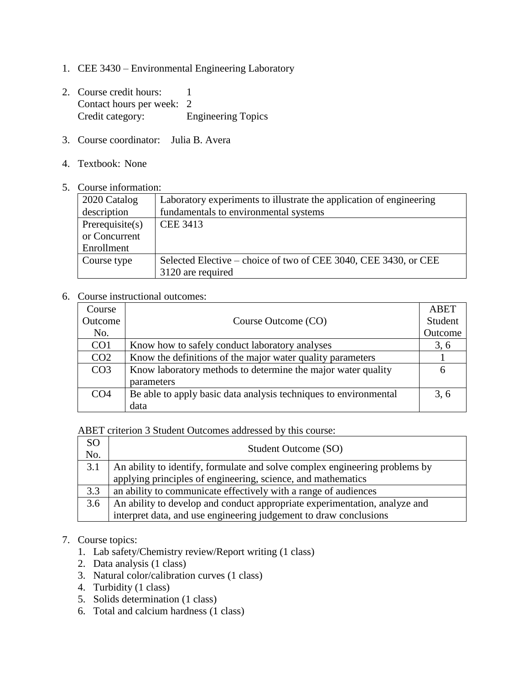- 1. CEE 3430 Environmental Engineering Laboratory
- 2. Course credit hours: 1 Contact hours per week: 2 Credit category: Engineering Topics
- 3. Course coordinator: Julia B. Avera
- 4. Textbook: None
- 5. Course information:

| 2020 Catalog    | Laboratory experiments to illustrate the application of engineering |  |
|-----------------|---------------------------------------------------------------------|--|
| description     | fundamentals to environmental systems                               |  |
| Prerequisite(s) | <b>CEE 3413</b>                                                     |  |
| or Concurrent   |                                                                     |  |
| Enrollment      |                                                                     |  |
| Course type     | Selected Elective – choice of two of CEE 3040, CEE 3430, or CEE     |  |
|                 | 3120 are required                                                   |  |

## 6. Course instructional outcomes:

| Course          |                                                                  | ABET    |
|-----------------|------------------------------------------------------------------|---------|
| Outcome         | Course Outcome (CO)                                              | Student |
| No.             |                                                                  | Outcome |
| CO <sub>1</sub> | Know how to safely conduct laboratory analyses                   | 3, 6    |
| CO <sub>2</sub> | Know the definitions of the major water quality parameters       |         |
| CO <sub>3</sub> | Know laboratory methods to determine the major water quality     | 6       |
|                 | parameters                                                       |         |
| CO <sub>4</sub> | Be able to apply basic data analysis techniques to environmental | 3, 6    |
|                 | data                                                             |         |

ABET criterion 3 Student Outcomes addressed by this course:

| SO<br>No. | Student Outcome (SO)                                                        |
|-----------|-----------------------------------------------------------------------------|
| 3.1       | An ability to identify, formulate and solve complex engineering problems by |
|           | applying principles of engineering, science, and mathematics                |
| 3.3       | an ability to communicate effectively with a range of audiences             |
| 3.6       | An ability to develop and conduct appropriate experimentation, analyze and  |
|           | interpret data, and use engineering judgement to draw conclusions           |

## 7. Course topics:

- 1. Lab safety/Chemistry review/Report writing (1 class)
- 2. Data analysis (1 class)
- 3. Natural color/calibration curves (1 class)
- 4. Turbidity (1 class)
- 5. Solids determination (1 class)
- 6. Total and calcium hardness (1 class)